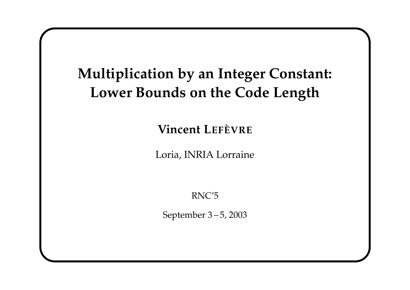# **Multiplication by an Integer Constant: Lower Bounds on the Code Length**

**Vincent LEFÈVRE**

Loria, INRIA Lorraine

RNC'5

September 3 – 5, 2003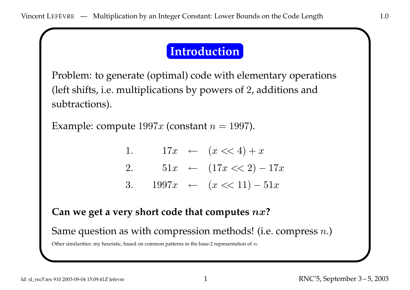## **Introduction**

Problem: to generate (optimal) code with elementary operations (left shifts, i.e. multiplications by powers of <sup>2</sup>, additions and subtractions).

Example: compute  $1997x$  (constant  $n = 1997$ ).

1.  $17x \leftarrow (x \ll 4) + x$ 2.  $51x \leftarrow (17x \ll 2) - 17x$ 3.  $1997x \leftarrow (x \ll 11) - 51x$ 

#### **Can we ge<sup>t</sup> <sup>a</sup> very short code that computes** nx**?**

Same question as with compression methods! (i.e. compress  $n$ .)

Other similarities: my heuristic, based on common patterns in the base-2 representation of  $n$ .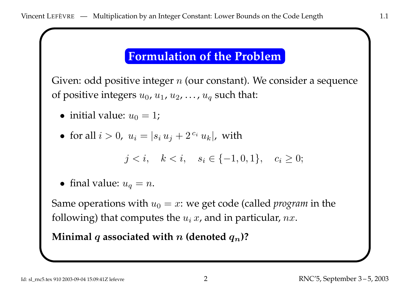### **Formulation of the Problem**

Given: odd positive integer  $n$  (our constant). We consider a sequence of positive integers  $u_0$ ,  $u_1$ ,  $u_2$ , ...,  $u_q$  such that:

- initial value:  $u_0 = 1$ ;
- for all  $i > 0$ ,  $u_i = |s_i u_j + 2^{c_i} u_k|$ , with

$$
j < i, \quad k < i, \quad s_i \in \{-1, 0, 1\}, \quad c_i \ge 0;
$$

• final value:  $u_q = n$ .

Same operations with  $u_0 = x$ : we get code (called *program* in the following) that computes the  $u_i x$ , and in particular, nx.

**Minimal** q associated with n **(denoted**  $q_n$ )?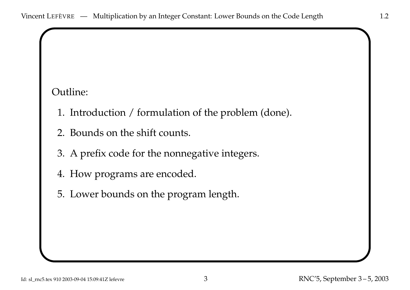#### Outline:

- 1. Introduction / formulation of the problem (done).
- 2. Bounds on the shift counts.
- 3. <sup>A</sup> prefix code for the nonnegative integers.
- 4. How programs are encoded.
- 5. Lower bounds on the program length.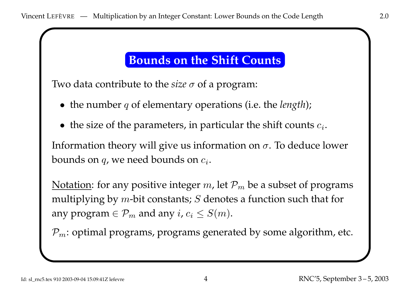# **Bounds on the Shift Counts**

Two data contribute to the *size*  $\sigma$  of a program:

- the number <sup>q</sup> of elementary operations (i.e. the *length*);
- the size of the parameters, in particular the shift counts  $c_i$ .

Information theory will give us information on  $\sigma$ . To deduce lower bounds on  $q$ , we need bounds on  $c_i$ .

Notation: for any positive integer m, let  $P_m$  be a subset of programs multiplying by  $m$ -bit constants;  $S$  denotes a function such that for any program  $\in \mathcal{P}_m$  and any  $i, c_i \leq S(m)$ .

 $P_m$ : optimal programs, programs generated by some algorithm, etc.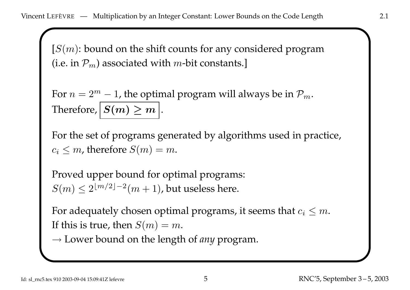$[S(m)$ : bound on the shift counts for any considered program (i.e. in  $P_m$ ) associated with *m*-bit constants.]

For  $n = 2^m - 1$ , the optimal program will always be in  $\mathcal{P}_m$ . Therefore,  $S(m) \geq m$ .

For the set of programs generated by algorithms used in practice,  $c_i \leq m$ , therefore  $S(m) = m$ .

Proved upper bound for optimal programs:  $S(m) \leq 2^{\lfloor m/2 \rfloor - 2}(m + 1)$ , but useless here.

For adequately chosen optimal programs, it seems that  $c_i \leq m$ . If this is true, then  $S(m) = m$ .

→ Lower bound on the length of *any* program.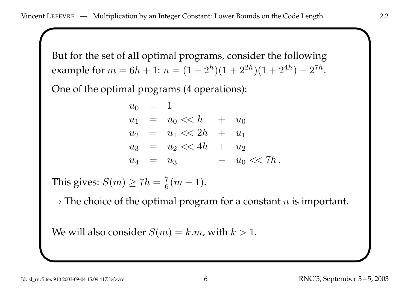But for the set of **all** optimal programs, consider the following example for  $m = 6h + 1$ :  $n = (1 + 2<sup>h</sup>)(1 + 2<sup>2h</sup>)(1 + 2<sup>4h</sup>) - 2<sup>7h</sup>$ .

One of the optimal programs (4 operations):

$$
u_0 = 1
$$
  
\n
$$
u_1 = u_0 \ll h + u_0
$$
  
\n
$$
u_2 = u_1 \ll 2h + u_1
$$
  
\n
$$
u_3 = u_2 \ll 4h + u_2
$$
  
\n
$$
u_4 = u_3 - u_0 \ll 7h.
$$

This gives:  $S(m) \geq 7h = \frac{7}{6}(m-1)$ .

 $\rightarrow$  The choice of the optimal program for a constant  $n$  is important.

We will also consider  $S(m) = k.m$ , with  $k > 1$ .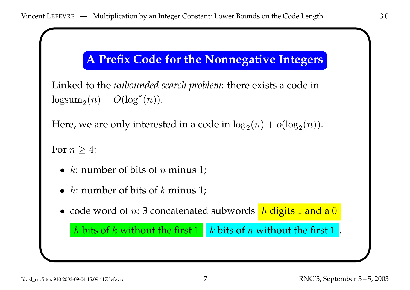# **<sup>A</sup> Prefix Code for the Nonnegative Integers**

```
Linked to the unbounded search problem: there exists a code in
\log \mathrm{sum}_2(n) + O(\log^*(n)).
```

```
Here, we are only interested in a code in \log_2(n) + o(\log_2(n)).
```
For  $n > 4$ :

- $k$ : number of bits of  $n$  minus 1;
- h: number of bits of k minus 1;

 $\bullet\,$  code word of  $n\colon 3$  concatenated subwords  $\,$   $h$  digits  $1$  and a  $0$ 

h bits of k without the first  $1 \mid k$  bits of n without the first  $1 \mid k$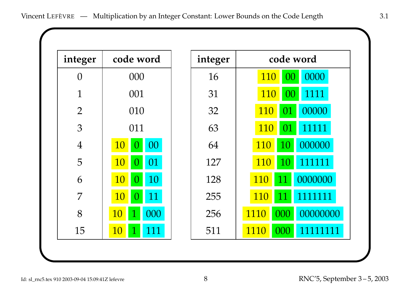| integer        | code word                           | integer | code word                   |
|----------------|-------------------------------------|---------|-----------------------------|
| $\overline{0}$ | 000                                 | 16      | 0000<br>110<br>00           |
| $\mathbf{1}$   | 001                                 | 31      | 110<br>1111<br>00           |
| $\overline{2}$ | 010                                 | 32      | 00000<br>110<br>01          |
| 3              | 011                                 | 63      | 11111<br>110<br>01          |
| $\overline{4}$ | <b>10</b><br>00<br>$\left( \right)$ | 64      | 000000<br><b>110</b><br>10  |
| 5              | 01<br><b>10</b><br>$\Omega$         | 127     | 110<br>111111<br>10         |
| 6              | <b>10</b><br>10<br>$\Omega$         | 128     | 0000000<br>110<br>11        |
| $\overline{7}$ | 11<br><b>10</b><br>$\Omega$         | 255     | 1111111<br><b>110</b><br>11 |
| 8              | 10<br>000                           | 256     | 00000000<br>1110<br>000     |
| 15             | 10<br>111                           | 511     | 1110<br>11111111<br>000     |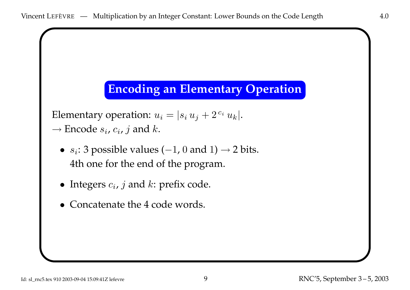# **Encoding an Elementary Operation**

Elementary operation:  $u_i = |s_i u_j + 2^{c_i} u_k|$ .  $\rightarrow$  Encode  $s_i$ ,  $c_i$ ,  $j$  and  $k$ .

- $s_i$ : 3 possible values ( $-1$ , 0 and 1)  $\rightarrow$  2 bits. 4th one for the end of the program.
- Integers  $c_i$ , j and  $k$ : prefix code.
- Concatenate the 4 code words.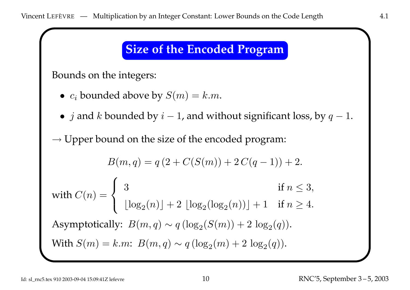#### **Size of the Encoded Program**

Bounds on the integers:

- $c_i$  bounded above by  $S(m) = k.m$ .
- $j$  and  $k$  bounded by  $i-1$ , and without significant loss, by  $q-1$ .

 $\rightarrow$  Upper bound on the size of the encoded program:

$$
B(m, q) = q(2 + C(S(m)) + 2C(q - 1)) + 2.
$$
  
with  $C(n) = \begin{cases} 3 & \text{if } n \le 3, \\ \lfloor \log_2(n) \rfloor + 2 \lfloor \log_2(\log_2(n)) \rfloor + 1 & \text{if } n \ge 4. \end{cases}$   
Asymptotically:  $B(m, q) \sim q(\log_2(S(m)) + 2 \log_2(q)).$   
With  $S(m) = k.m$ :  $B(m, q) \sim q(\log_2(m) + 2 \log_2(q)).$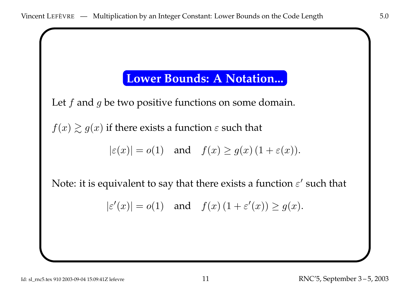### **Lower Bounds: A Notation...**

Let  $f$  and  $g$  be two positive functions on some domain.

 $f(x) \gtrsim g(x)$  if there exists a function  $\varepsilon$  such that

$$
|\varepsilon(x)| = o(1) \quad \text{and} \quad f(x) \ge g(x) \left(1 + \varepsilon(x)\right).
$$

Note: it is equivalent to say that there exists a function  $\varepsilon'$  such that

$$
|\varepsilon'(x)| = o(1) \quad \text{and} \quad f(x) \left(1 + \varepsilon'(x)\right) \ge g(x).
$$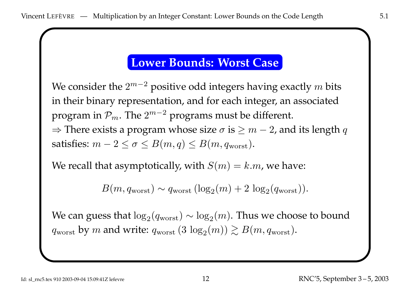#### **Lower Bounds: Worst Case**

We consider the  $2^{m-2}$  positive odd integers having exactly m bits in their binary representation, and for each integer, an associated program in  $\mathcal{P}_m$ . The  $2^{m-2}$  programs must be different.  $\Rightarrow$  There exists a program whose size  $\sigma$  is  $\geq m-2$ , and its length q satisfies:  $m - 2 \le \sigma \le B(m, q) \le B(m, q_{worst}).$ 

We recall that asymptotically, with  $S(m) = k.m$ , we have:

$$
B(m, q_{\text{worst}}) \sim q_{\text{worst}} \left(\log_2(m) + 2 \log_2(q_{\text{worst}})\right).
$$

We can guess that  $\log_2(q_{\text{worst}}) \sim \log_2(m)$ . Thus we choose to bound  $q_{\text{worst}}$  by m and write:  $q_{\text{worst}}$  (3  $\log_2(m)$ )  $\geq B(m, q_{\text{worst}})$ .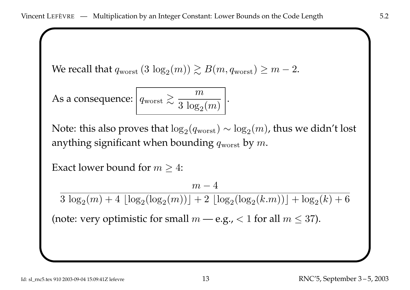We recall that  $q_{\text{worst}}$  (3  $\log_2(m)$ )  $\geq B(m, q_{\text{worst}}) \geq m-2$ .

As a consequence:  $\left| q_{\text{worst}} \gtrsim \frac{m}{3 \log_2(m)} \right|$ .

Note: this also proves that  $\log_2(q_{\text{worst}}) \sim \log_2(m)$ , thus we didn't lost anything significant when bounding  $q_{\text{worst}}$  by m.

Exact lower bound for  $m \geq 4$ :

$$
m-4
$$

 $3 \log_2(m) + 4 |\log_2(\log_2(m))| + 2 |\log_2(\log_2(k.m))| + \log_2(k) + 6$ 

(note: very optimistic for small  $m$  — e.g., < 1 for all  $m \leq 37$ ).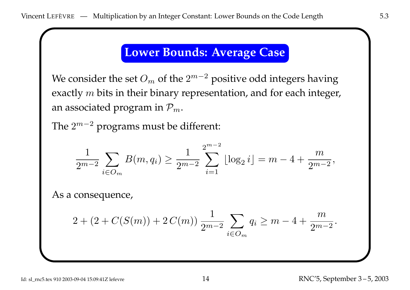# **Lower Bounds: Average Case**

We consider the set  $O_m$  of the  $2^{m-2}$  positive odd integers having exactly  $m$  bits in their binary representation, and for each integer, an associated program in  $\mathcal{P}_m$ .

The  $2^{m-2}$  programs must be different:

$$
\frac{1}{2^{m-2}} \sum_{i \in O_m} B(m, q_i) \ge \frac{1}{2^{m-2}} \sum_{i=1}^{2^{m-2}} \lfloor \log_2 i \rfloor = m - 4 + \frac{m}{2^{m-2}},
$$

As <sup>a</sup> consequence,

$$
2 + (2 + C(S(m)) + 2C(m)) \frac{1}{2^{m-2}} \sum_{i \in O_m} q_i \ge m - 4 + \frac{m}{2^{m-2}}.
$$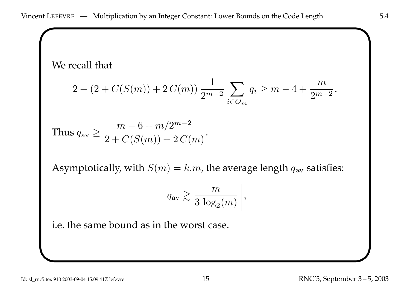We recall that

$$
2 + (2 + C(S(m)) + 2C(m)) \frac{1}{2^{m-2}} \sum_{i \in O_m} q_i \ge m - 4 + \frac{m}{2^{m-2}}.
$$

Thus 
$$
q_{\text{av}} \ge \frac{m-6+m/2^{m-2}}{2+C(S(m))+2C(m)}
$$
.

Asymptotically, with  $S(m) = k.m$ , the average length  $q_{av}$  satisfies:

$$
q_{\text{av}} \gtrsim \frac{m}{3 \log_2(m)} \Bigg|,
$$

i.e. the same bound as in the worst case.